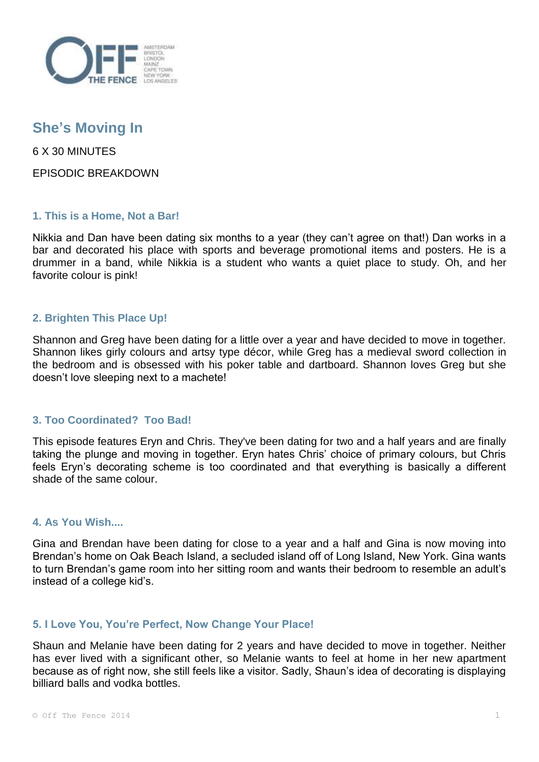

# **She's Moving In**

6 X 30 MINUTES

EPISODIC BREAKDOWN

## **1. This is a Home, Not a Bar!**

Nikkia and Dan have been dating six months to a year (they can't agree on that!) Dan works in a bar and decorated his place with sports and beverage promotional items and posters. He is a drummer in a band, while Nikkia is a student who wants a quiet place to study. Oh, and her favorite colour is pink!

## **2. Brighten This Place Up!**

Shannon and Greg have been dating for a little over a year and have decided to move in together. Shannon likes girly colours and artsy type décor, while Greg has a medieval sword collection in the bedroom and is obsessed with his poker table and dartboard. Shannon loves Greg but she doesn't love sleeping next to a machete!

## **3. Too Coordinated? Too Bad!**

This episode features Eryn and Chris. They've been dating for two and a half years and are finally taking the plunge and moving in together. Eryn hates Chris' choice of primary colours, but Chris feels Eryn's decorating scheme is too coordinated and that everything is basically a different shade of the same colour.

#### **4. As You Wish....**

Gina and Brendan have been dating for close to a year and a half and Gina is now moving into Brendan's home on Oak Beach Island, a secluded island off of Long Island, New York. Gina wants to turn Brendan's game room into her sitting room and wants their bedroom to resemble an adult's instead of a college kid's.

## **5. I Love You, You're Perfect, Now Change Your Place!**

Shaun and Melanie have been dating for 2 years and have decided to move in together. Neither has ever lived with a significant other, so Melanie wants to feel at home in her new apartment because as of right now, she still feels like a visitor. Sadly, Shaun's idea of decorating is displaying billiard balls and vodka bottles.